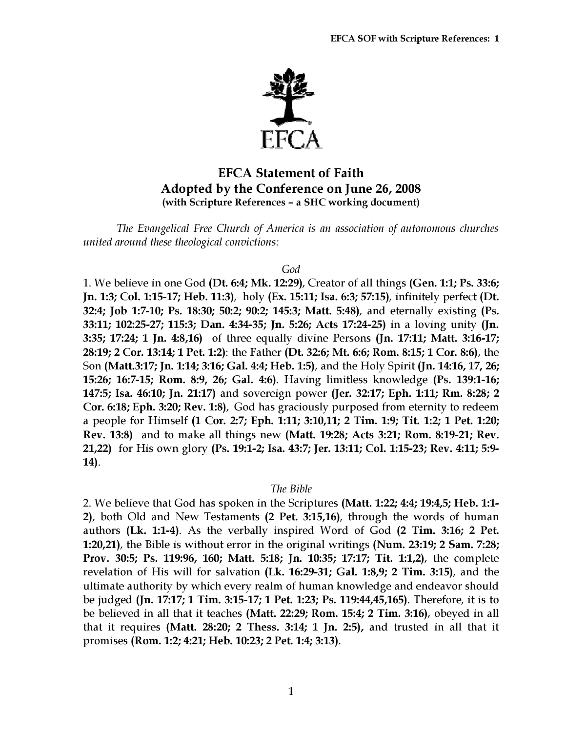

# EFCA Statement of Faith Adopted by the Conference on June 26, 2008 (with Scripture References – a SHC working document)

The Evangelical Free Church of America is an association of autonomous churches united around these theological convictions:

#### God

1. We believe in one God (Dt. 6:4; Mk. 12:29), Creator of all things (Gen. 1:1; Ps. 33:6; Jn. 1:3; Col. 1:15-17; Heb. 11:3), holy (Ex. 15:11; Isa. 6:3; 57:15), infinitely perfect (Dt. 32:4; Job 1:7-10; Ps. 18:30; 50:2; 90:2; 145:3; Matt. 5:48), and eternally existing (Ps. 33:11; 102:25-27; 115:3; Dan. 4:34-35; Jn. 5:26; Acts 17:24-25) in a loving unity (Jn. 3:35; 17:24; 1 Jn. 4:8,16) of three equally divine Persons (Jn. 17:11; Matt. 3:16-17; 28:19; 2 Cor. 13:14; 1 Pet. 1:2): the Father (Dt. 32:6; Mt. 6:6; Rom. 8:15; 1 Cor. 8:6), the Son (Matt.3:17; Jn. 1:14; 3:16; Gal. 4:4; Heb. 1:5), and the Holy Spirit (Jn. 14:16, 17, 26; 15:26; 16:7-15; Rom. 8:9, 26; Gal. 4:6). Having limitless knowledge (Ps. 139:1-16; 147:5; Isa. 46:10; Jn. 21:17) and sovereign power (Jer. 32:17; Eph. 1:11; Rm. 8:28; 2 Cor. 6:18; Eph. 3:20; Rev. 1:8), God has graciously purposed from eternity to redeem a people for Himself (1 Cor. 2:7; Eph. 1:11; 3:10,11; 2 Tim. 1:9; Tit. 1:2; 1 Pet. 1:20; Rev. 13:8) and to make all things new (Matt. 19:28; Acts 3:21; Rom. 8:19-21; Rev. 21,22) for His own glory (Ps. 19:1-2; Isa. 43:7; Jer. 13:11; Col. 1:15-23; Rev. 4:11; 5:9- 14).

## The Bible

2. We believe that God has spoken in the Scriptures (Matt. 1:22; 4:4; 19:4,5; Heb. 1:1- 2), both Old and New Testaments (2 Pet. 3:15,16), through the words of human authors (Lk. 1:1-4). As the verbally inspired Word of God (2 Tim. 3:16; 2 Pet. 1:20,21), the Bible is without error in the original writings (Num. 23:19; 2 Sam. 7:28; Prov. 30:5; Ps. 119:96, 160; Matt. 5:18; Jn. 10:35; 17:17; Tit. 1:1,2), the complete revelation of His will for salvation (Lk. 16:29-31; Gal. 1:8,9; 2 Tim. 3:15), and the ultimate authority by which every realm of human knowledge and endeavor should be judged (Jn. 17:17; 1 Tim. 3:15-17; 1 Pet. 1:23; Ps. 119:44,45,165). Therefore, it is to be believed in all that it teaches (Matt. 22:29; Rom. 15:4; 2 Tim. 3:16), obeyed in all that it requires (Matt. 28:20; 2 Thess. 3:14; 1 Jn. 2:5), and trusted in all that it promises (Rom. 1:2; 4:21; Heb. 10:23; 2 Pet. 1:4; 3:13).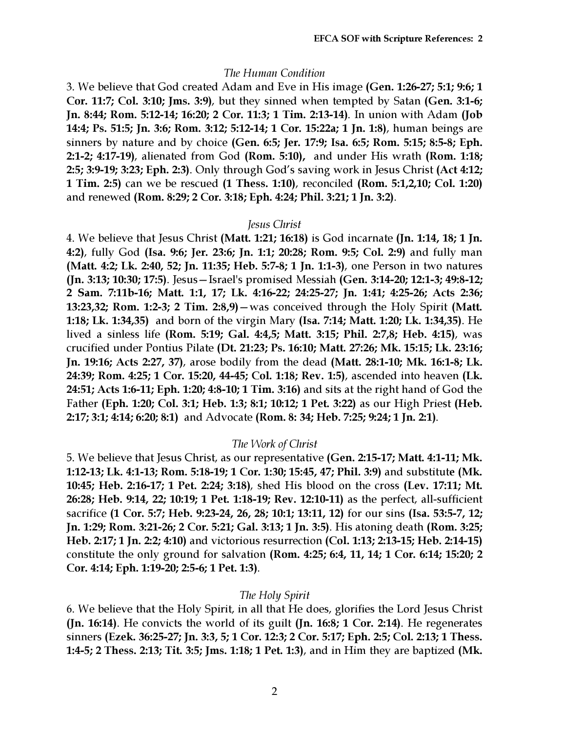# The Human Condition

3. We believe that God created Adam and Eve in His image (Gen. 1:26-27; 5:1; 9:6; 1 Cor. 11:7; Col. 3:10; Jms. 3:9), but they sinned when tempted by Satan (Gen. 3:1-6; Jn. 8:44; Rom. 5:12-14; 16:20; 2 Cor. 11:3; 1 Tim. 2:13-14). In union with Adam (Job 14:4; Ps. 51:5; Jn. 3:6; Rom. 3:12; 5:12-14; 1 Cor. 15:22a; 1 Jn. 1:8), human beings are sinners by nature and by choice (Gen. 6:5; Jer. 17:9; Isa. 6:5; Rom. 5:15; 8:5-8; Eph. 2:1-2; 4:17-19), alienated from God (Rom. 5:10), and under His wrath (Rom. 1:18; 2:5; 3:9-19; 3:23; Eph. 2:3). Only through God's saving work in Jesus Christ (Act 4:12; 1 Tim. 2:5) can we be rescued (1 Thess. 1:10), reconciled (Rom. 5:1,2,10; Col. 1:20) and renewed (Rom. 8:29; 2 Cor. 3:18; Eph. 4:24; Phil. 3:21; 1 Jn. 3:2).

#### Jesus Christ

4. We believe that Jesus Christ (Matt. 1:21; 16:18) is God incarnate (Jn. 1:14, 18; 1 Jn. 4:2), fully God (Isa. 9:6; Jer. 23:6; Jn. 1:1; 20:28; Rom. 9:5; Col. 2:9) and fully man (Matt. 4:2; Lk. 2:40, 52; Jn. 11:35; Heb. 5:7-8; 1 Jn. 1:1-3), one Person in two natures (Jn. 3:13; 10:30; 17:5). Jesus—Israel's promised Messiah (Gen. 3:14-20; 12:1-3; 49:8-12; 2 Sam. 7:11b-16; Matt. 1:1, 17; Lk. 4:16-22; 24:25-27; Jn. 1:41; 4:25-26; Acts 2:36; 13:23,32; Rom. 1:2-3; 2 Tim. 2:8,9)—was conceived through the Holy Spirit (Matt. 1:18; Lk. 1:34,35) and born of the virgin Mary (Isa. 7:14; Matt. 1:20; Lk. 1:34,35). He lived a sinless life (Rom. 5:19; Gal. 4:4,5; Matt. 3:15; Phil. 2:7,8; Heb. 4:15), was crucified under Pontius Pilate (Dt. 21:23; Ps. 16:10; Matt. 27:26; Mk. 15:15; Lk. 23:16; Jn. 19:16; Acts 2:27, 37), arose bodily from the dead (Matt. 28:1-10; Mk. 16:1-8; Lk. 24:39; Rom. 4:25; 1 Cor. 15:20, 44-45; Col. 1:18; Rev. 1:5), ascended into heaven (Lk. 24:51; Acts 1:6-11; Eph. 1:20; 4:8-10; 1 Tim. 3:16) and sits at the right hand of God the Father (Eph. 1:20; Col. 3:1; Heb. 1:3; 8:1; 10:12; 1 Pet. 3:22) as our High Priest (Heb. 2:17; 3:1; 4:14; 6:20; 8:1) and Advocate (Rom. 8: 34; Heb. 7:25; 9:24; 1 Jn. 2:1).

## The Work of Christ

5. We believe that Jesus Christ, as our representative (Gen. 2:15-17; Matt. 4:1-11; Mk. 1:12-13; Lk. 4:1-13; Rom. 5:18-19; 1 Cor. 1:30; 15:45, 47; Phil. 3:9) and substitute (Mk. 10:45; Heb. 2:16-17; 1 Pet. 2:24; 3:18), shed His blood on the cross (Lev. 17:11; Mt. 26:28; Heb. 9:14, 22; 10:19; 1 Pet. 1:18-19; Rev. 12:10-11) as the perfect, all-sufficient sacrifice (1 Cor. 5:7; Heb. 9:23-24, 26, 28; 10:1; 13:11, 12) for our sins (Isa. 53:5-7, 12; Jn. 1:29; Rom. 3:21-26; 2 Cor. 5:21; Gal. 3:13; 1 Jn. 3:5). His atoning death (Rom. 3:25; Heb. 2:17; 1 Jn. 2:2; 4:10) and victorious resurrection (Col. 1:13; 2:13-15; Heb. 2:14-15) constitute the only ground for salvation (Rom. 4:25; 6:4, 11, 14; 1 Cor. 6:14; 15:20; 2 Cor. 4:14; Eph. 1:19-20; 2:5-6; 1 Pet. 1:3).

# The Holy Spirit

6. We believe that the Holy Spirit, in all that He does, glorifies the Lord Jesus Christ (Jn. 16:14). He convicts the world of its guilt (Jn. 16:8; 1 Cor. 2:14). He regenerates sinners (Ezek. 36:25-27; Jn. 3:3, 5; 1 Cor. 12:3; 2 Cor. 5:17; Eph. 2:5; Col. 2:13; 1 Thess. 1:4-5; 2 Thess. 2:13; Tit. 3:5; Jms. 1:18; 1 Pet. 1:3), and in Him they are baptized (Mk.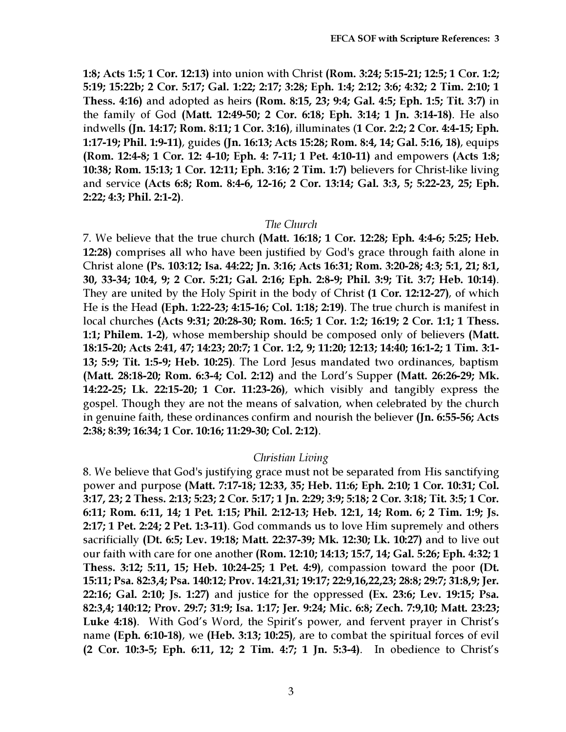1:8; Acts 1:5; 1 Cor. 12:13) into union with Christ (Rom. 3:24; 5:15-21; 12:5; 1 Cor. 1:2; 5:19; 15:22b; 2 Cor. 5:17; Gal. 1:22; 2:17; 3:28; Eph. 1:4; 2:12; 3:6; 4:32; 2 Tim. 2:10; 1 Thess. 4:16) and adopted as heirs (Rom. 8:15, 23; 9:4; Gal. 4:5; Eph. 1:5; Tit. 3:7) in the family of God (Matt. 12:49-50; 2 Cor. 6:18; Eph. 3:14; 1 Jn. 3:14-18). He also indwells (Jn. 14:17; Rom. 8:11; 1 Cor. 3:16), illuminates (1 Cor. 2:2; 2 Cor. 4:4-15; Eph. 1:17-19; Phil. 1:9-11), guides (Jn. 16:13; Acts 15:28; Rom. 8:4, 14; Gal. 5:16, 18), equips (Rom. 12:4-8; 1 Cor. 12: 4-10; Eph. 4: 7-11; 1 Pet. 4:10-11) and empowers (Acts 1:8; 10:38; Rom. 15:13; 1 Cor. 12:11; Eph. 3:16; 2 Tim. 1:7) believers for Christ-like living and service (Acts 6:8; Rom. 8:4-6, 12-16; 2 Cor. 13:14; Gal. 3:3, 5; 5:22-23, 25; Eph. 2:22; 4:3; Phil. 2:1-2).

#### The Church

7. We believe that the true church (Matt. 16:18; 1 Cor. 12:28; Eph. 4:4-6; 5:25; Heb. 12:28) comprises all who have been justified by God's grace through faith alone in Christ alone (Ps. 103:12; Isa. 44:22; Jn. 3:16; Acts 16:31; Rom. 3:20-28; 4:3; 5:1, 21; 8:1, 30, 33-34; 10:4, 9; 2 Cor. 5:21; Gal. 2:16; Eph. 2:8-9; Phil. 3:9; Tit. 3:7; Heb. 10:14). They are united by the Holy Spirit in the body of Christ (1 Cor. 12:12-27), of which He is the Head (Eph. 1:22-23; 4:15-16; Col. 1:18; 2:19). The true church is manifest in local churches (Acts 9:31; 20:28-30; Rom. 16:5; 1 Cor. 1:2; 16:19; 2 Cor. 1:1; 1 Thess. 1:1; Philem. 1-2), whose membership should be composed only of believers (Matt. 18:15-20; Acts 2:41, 47; 14:23; 20:7; 1 Cor. 1:2, 9; 11:20; 12:13; 14:40; 16:1-2; 1 Tim. 3:1- 13; 5:9; Tit. 1:5-9; Heb. 10:25). The Lord Jesus mandated two ordinances, baptism (Matt. 28:18-20; Rom. 6:3-4; Col. 2:12) and the Lord's Supper (Matt. 26:26-29; Mk. 14:22-25; Lk. 22:15-20; 1 Cor. 11:23-26), which visibly and tangibly express the gospel. Though they are not the means of salvation, when celebrated by the church in genuine faith, these ordinances confirm and nourish the believer (Jn. 6:55-56; Acts 2:38; 8:39; 16:34; 1 Cor. 10:16; 11:29-30; Col. 2:12).

## Christian Living

8. We believe that God's justifying grace must not be separated from His sanctifying power and purpose (Matt. 7:17-18; 12:33, 35; Heb. 11:6; Eph. 2:10; 1 Cor. 10:31; Col. 3:17, 23; 2 Thess. 2:13; 5:23; 2 Cor. 5:17; 1 Jn. 2:29; 3:9; 5:18; 2 Cor. 3:18; Tit. 3:5; 1 Cor. 6:11; Rom. 6:11, 14; 1 Pet. 1:15; Phil. 2:12-13; Heb. 12:1, 14; Rom. 6; 2 Tim. 1:9; Js. 2:17; 1 Pet. 2:24; 2 Pet. 1:3-11). God commands us to love Him supremely and others sacrificially (Dt. 6:5; Lev. 19:18; Matt. 22:37-39; Mk. 12:30; Lk. 10:27) and to live out our faith with care for one another (Rom. 12:10; 14:13; 15:7, 14; Gal. 5:26; Eph. 4:32; 1 Thess. 3:12; 5:11, 15; Heb. 10:24-25; 1 Pet. 4:9), compassion toward the poor (Dt. 15:11; Psa. 82:3,4; Psa. 140:12; Prov. 14:21,31; 19:17; 22:9,16,22,23; 28:8; 29:7; 31:8,9; Jer. 22:16; Gal. 2:10; Js. 1:27) and justice for the oppressed (Ex. 23:6; Lev. 19:15; Psa. 82:3,4; 140:12; Prov. 29:7; 31:9; Isa. 1:17; Jer. 9:24; Mic. 6:8; Zech. 7:9,10; Matt. 23:23; Luke 4:18). With God's Word, the Spirit's power, and fervent prayer in Christ's name (Eph. 6:10-18), we (Heb. 3:13; 10:25), are to combat the spiritual forces of evil (2 Cor. 10:3-5; Eph. 6:11, 12; 2 Tim. 4:7; 1 Jn. 5:3-4). In obedience to Christ's